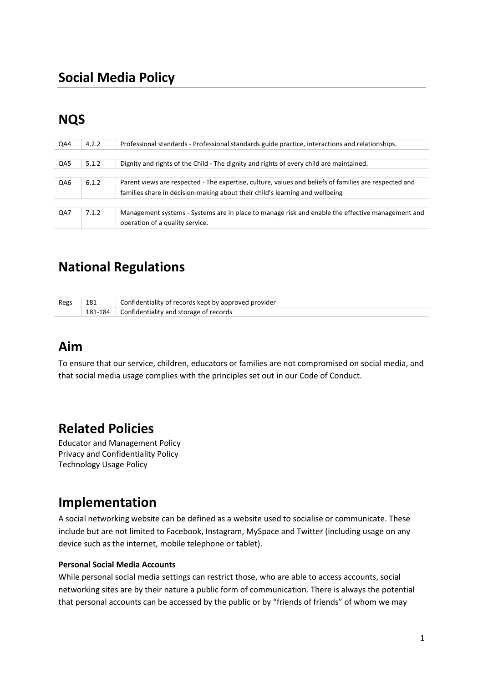# **NQS**

| QA4 | 4.2.2 | Professional standards - Professional standards guide practice, interactions and relationships.                                     |
|-----|-------|-------------------------------------------------------------------------------------------------------------------------------------|
| QA5 | 5.1.2 | Dignity and rights of the Child - The dignity and rights of every child are maintained.                                             |
|     |       |                                                                                                                                     |
| QA6 | 6.1.2 | Parent views are respected - The expertise, culture, values and beliefs of families are respected and                               |
|     |       | families share in decision-making about their child's learning and wellbeing                                                        |
| QA7 | 7.1.2 | Management systems - Systems are in place to manage risk and enable the effective management and<br>operation of a quality service. |

# **National Regulations**

| Regs | 181 | Confidentiality of records kept by approved provider |
|------|-----|------------------------------------------------------|
|      |     | $+181-184$ Confidentiality and storage of records    |

## **Aim**

To ensure that our service, children, educators or families are not compromised on social media, and that social media usage complies with the principles set out in our Code of Conduct.

## **Related Policies**

Educator and Management Policy Privacy and Confidentiality Policy Technology Usage Policy

## **Implementation**

A social networking website can be defined as a website used to socialise or communicate. These include but are not limited to Facebook, Instagram, MySpace and Twitter (including usage on any device such as the internet, mobile telephone or tablet).

#### **Personal Social Media Accounts**

While personal social media settings can restrict those, who are able to access accounts, social networking sites are by their nature a public form of communication. There is always the potential that personal accounts can be accessed by the public or by "friends of friends" of whom we may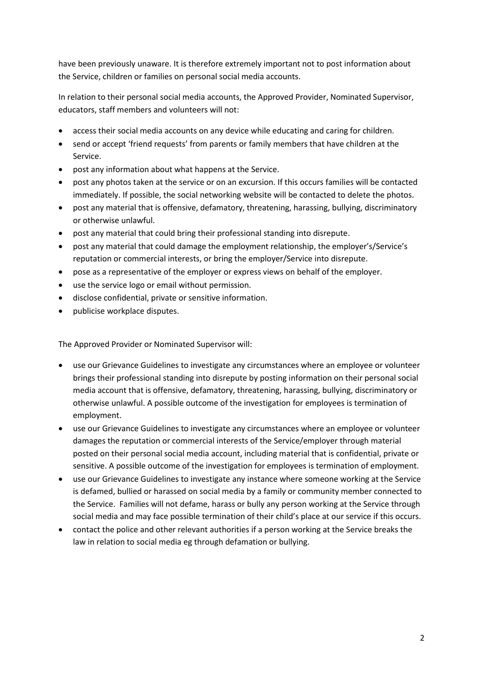have been previously unaware. It is therefore extremely important not to post information about the Service, children or families on personal social media accounts.

In relation to their personal social media accounts, the Approved Provider, Nominated Supervisor, educators, staff members and volunteers will not:

- access their social media accounts on any device while educating and caring for children.
- send or accept 'friend requests' from parents or family members that have children at the Service.
- post any information about what happens at the Service.
- post any photos taken at the service or on an excursion. If this occurs families will be contacted immediately. If possible, the social networking website will be contacted to delete the photos.
- post any material that is offensive, defamatory, threatening, harassing, bullying, discriminatory or otherwise unlawful.
- post any material that could bring their professional standing into disrepute.
- post any material that could damage the employment relationship, the employer's/Service's reputation or commercial interests, or bring the employer/Service into disrepute.
- pose as a representative of the employer or express views on behalf of the employer.
- use the service logo or email without permission.
- disclose confidential, private or sensitive information.
- publicise workplace disputes.

The Approved Provider or Nominated Supervisor will:

- use our Grievance Guidelines to investigate any circumstances where an employee or volunteer brings their professional standing into disrepute by posting information on their personal social media account that is offensive, defamatory, threatening, harassing, bullying, discriminatory or otherwise unlawful. A possible outcome of the investigation for employees is termination of employment.
- use our Grievance Guidelines to investigate any circumstances where an employee or volunteer damages the reputation or commercial interests of the Service/employer through material posted on their personal social media account, including material that is confidential, private or sensitive. A possible outcome of the investigation for employees is termination of employment.
- use our Grievance Guidelines to investigate any instance where someone working at the Service is defamed, bullied or harassed on social media by a family or community member connected to the Service. Families will not defame, harass or bully any person working at the Service through social media and may face possible termination of their child's place at our service if this occurs.
- contact the police and other relevant authorities if a person working at the Service breaks the law in relation to social media eg through defamation or bullying.